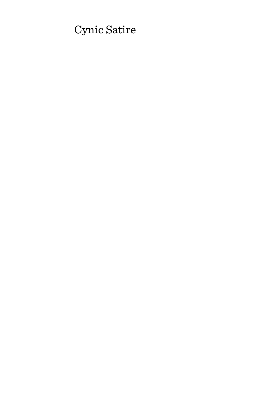# Cynic Satire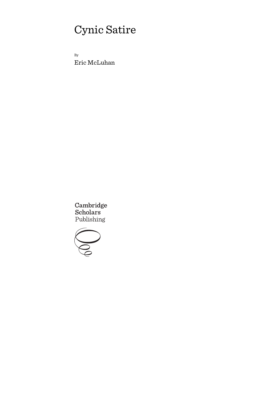# Cynic Satire

By Eric McLuhan

Cambridge<br>Scholars Publishing

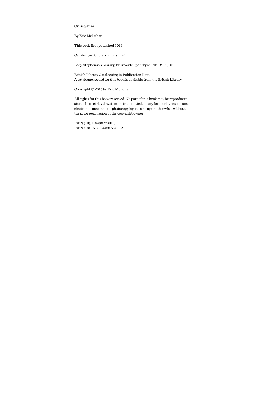Cynic Satire

By Eric McLuhan

This book first published 2015

Cambridge Scholars Publishing

Lady Stephenson Library, Newcastle upon Tyne, NE6 2PA, UK

British Library Cataloguing in Publication Data A catalogue record for this book is available from the British Library

Copyright © 2015 by Eric McLuhan

All rights for this book reserved. No part of this book may be reproduced, stored in a retrieval system, or transmitted, in any form or by any means, electronic, mechanical, photocopying, recording or otherwise, without the prior permission of the copyright owner.

ISBN (10): 1-4438-7760-3 ISBN (13): 978-1-4438-7760-2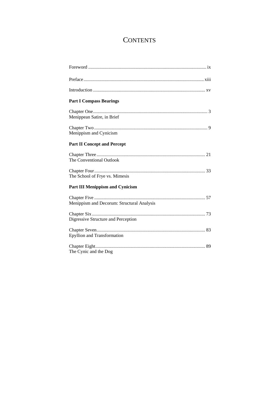## **CONTENTS**

| <b>Part I Compass Bearings</b>             |
|--------------------------------------------|
|                                            |
| Menippean Satire, in Brief                 |
| Menippism and Cynicism                     |
| <b>Part II Concept and Percept</b>         |
| The Conventional Outlook                   |
|                                            |
| The School of Frye vs. Mimesis             |
| <b>Part III Menippism and Cynicism</b>     |
| Menippism and Decorum: Structural Analysis |
| Digressive Structure and Perception        |
| <b>Epyllion and Transformation</b>         |
| The Cynic and the Dog                      |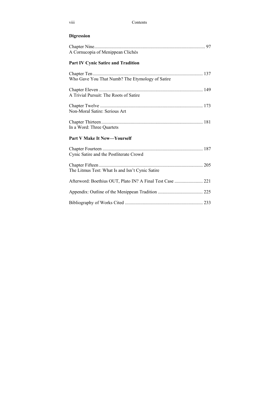#### viii Contents

## **Digression**

| A Cornucopia of Menippean Clichés                         |  |
|-----------------------------------------------------------|--|
| <b>Part IV Cynic Satire and Tradition</b>                 |  |
| Who Gave You That Numb? The Etymology of Satire           |  |
| A Trivial Pursuit: The Roots of Satire                    |  |
| Non-Moral Satire: Serious Art                             |  |
| In a Word: Three Quartets                                 |  |
| <b>Part V Make It New—Yourself</b>                        |  |
| Cynic Satire and the Postliterate Crowd                   |  |
| The Litmus Test: What Is and Isn't Cynic Satire           |  |
| Afterword: Boethius OUT, Plato IN? A Final Test Case  221 |  |
|                                                           |  |
|                                                           |  |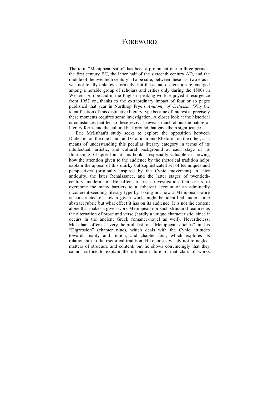### FOREWORD

The term "Menippean satire" has been a prominent one in three periods: the first century BC, the latter half of the sixteenth century AD, and the middle of the twentieth century. To be sure, between these last two eras it was not totally unknown formally, but the actual designation re-emerged among a notable group of scholars and critics only during the 1500s in Western Europe and in the English-speaking world enjoyed a resurgence from 1957 on, thanks to the extraordinary impact of four or so pages published that year in Northrop Frye's *Anatomy of Criticism*. Why the identification of this distinctive literary type became of interest at precisely these moments requires some investigation. A closer look at the historical circumstances that led to these revivals reveals much about the nature of literary forms and the cultural background that gave them significance.

Eric McLuhan's study seeks to explore the opposition between Dialectic, on the one hand, and Grammar and Rhetoric, on the other, as a means of understanding this peculiar literary category in terms of its intellectual, artistic, and cultural background at each stage of its flourishing. Chapter four of his book is especially valuable in showing how the attention given to the audience by the rhetorical tradition helps explain the appeal of this quirky but sophisticated set of techniques and perspectives (originally inspired by the Cynic movement) in later antiquity, the later Renaissance, and the latter stages of twentiethcentury modernism. He offers a fresh investigation that seeks to overcome the many barriers to a coherent account of an admittedly incoherent-seeming literary type by asking not how a Menippean satire is constructed or how a given work might be identified under some abstract rubric but what effect it has on its audience. It is not the content alone that makes a given work Menippean nor such structural features as the alternation of prose and verse (hardly a unique characteristic, since it occurs in the ancient Greek romance-novel as well). Nevertheless, McLuhan offers a very helpful list of "Menippean clichés" in his "Digression" (chapter nine), which deals with the Cynic attitudes towards reality and fiction, and chapter four, which explores its relationship to the rhetorical tradition. He chooses wisely not to neglect matters of structure and content, but he shows convincingly that they cannot suffice to explain the ultimate nature of that class of works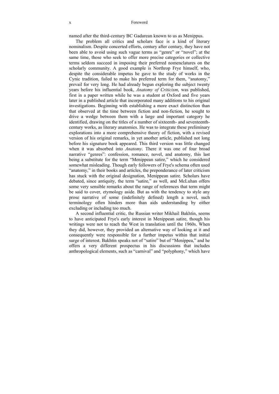named after the third-century BC Gadarean known to us as Menippus.

The problem all critics and scholars face is a kind of literary nominalism. Despite concerted efforts, century after century, they have not been able to avoid using such vague terms as "genre" or "novel"; at the same time, those who seek to offer more precise categories or collective terms seldom succeed in imposing their preferred nomenclatures on the scholarly community. A good example is Northrop Frye himself, who, despite the considerable impetus he gave to the study of works in the Cynic tradition, failed to make his preferred term for them, "anatomy," prevail for very long. He had already begun exploring the subject twenty years before his influential book, *Anatomy of Criticism*, was published, first in a paper written while he was a student at Oxford and five years later in a published article that incorporated many additions to his original investigations. Beginning with establishing a more exact distinction than that observed at the time between fiction and non-fiction, he sought to drive a wedge between them with a large and important category he identified, drawing on the titles of a number of sixteenth- and seventeenthcentury works, as literary anatomies. He was to integrate these preliminary explorations into a more comprehensive theory of fiction, with a revised version of his original remarks, in yet another article, published not long before his signature book appeared. This third version was little changed when it was absorbed into *Anatomy*. There it was one of four broad narrative "genres": confession, romance, novel, and anatomy, this last being a substitute for the term "Menippean satire," which he considered somewhat misleading. Though early followers of Frye's schema often used "anatomy," in their books and articles, the preponderance of later criticism has stuck with the original designation, Menippean satire. Scholars have debated, since antiquity, the term "satire," as well, and McLuhan offers some very sensible remarks about the range of references that term might be said to cover, etymology aside. But as with the tendency to style any prose narrative of some (indefinitely defined) length a novel, such terminology often hinders more than aids understanding by either excluding or including too much.

A second influential critic, the Russian writer Mikhail Bakhtin, seems to have anticipated Frye's early interest in Menippean satire, though his writings were not to reach the West in translation until the 1960s. When they did, however, they provided an alternative way of looking at it and consequently were responsible for a further impetus within that initial surge of interest. Bakhtin speaks not of "satire" but of "Menippea," and he offers a very different prospectus in his discussions that includes anthropological elements, such as "carnival" and "polyphony," which have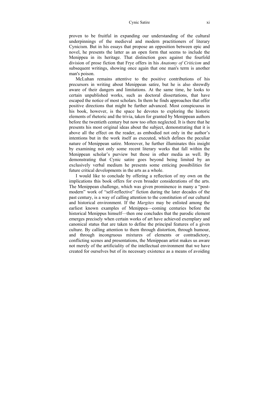#### Cynic Satire xi

proven to be fruitful in expanding our understanding of the cultural underpinnings of the medieval and modern practitioners of literary Cynicism. But in his essays that propose an opposition between epic and novel, he presents the latter as an open form that seems to include the Menippea in its heritage. That distinction goes against the fourfold division of prose fiction that Frye offers in his *Anatomy of Criticism* and subsequent writings, showing once again that one man's term is another man's poison.

McLuhan remains attentive to the positive contributions of his precursors in writing about Menippean satire, but he is also shrewdly aware of their dangers and limitations. At the same time, he looks to certain unpublished works, such as doctoral dissertations, that have escaped the notice of most scholars. In them he finds approaches that offer positive directions that might be further advanced. Most conspicuous in his book, however, is the space he devotes to exploring the historic elements of rhetoric and the trivia, taken for granted by Menippean authors before the twentieth century but now too often neglected. It is there that he presents his most original ideas about the subject, demonstrating that it is above all the effect on the reader, as embodied not only in the author's intentions but in the work itself as executed, which defines the peculiar nature of Menippean satire. Moreover, he further illuminates this insight by examining not only some recent literary works that fall within the Menippean scholar's purview but those in other media as well. By demonstrating that Cynic satire goes beyond being limited by an exclusively verbal medium he presents some enticing possibilities for future critical developments in the arts as a whole.

I would like to conclude by offering a reflection of my own on the implications this book offers for even broader considerations of the arts. The Menippean challenge, which was given prominence in many a "postmodern" work of "self-reflective" fiction during the later decades of the past century, is a way of calling attention to the constitution of our cultural and historical environment. If the *Margites* may be enlisted among the earliest known examples of Menippea—coming centuries before the historical Menippus himself—then one concludes that the parodic element emerges precisely when certain works of art have achieved exemplary and canonical status that are taken to define the principal features of a given culture. By calling attention to them through distortion, through humour, and through incongruous mixtures of elements or contradictory, conflicting scenes and presentations, the Menippean artist makes us aware not merely of the artificiality of the intellectual environment that we have created for ourselves but of its necessary existence as a means of avoiding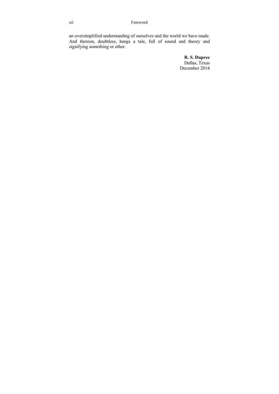an oversimplified understanding of ourselves and the world we have made. And thereon, doubtless, hangs a tale, full of sound and theory and signifying something or other.

> **R. S. Dupree**  Dallas, Texas December 2014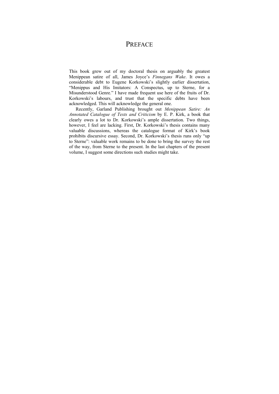## **PREFACE**

This book grew out of my doctoral thesis on arguably the greatest Menippean satire of all, James Joyce's *Finnegans Wake*. It owes a considerable debt to Eugene Korkowski's slightly earlier dissertation, "Menippus and His Imitators: A Conspectus, up to Sterne, for a Misunderstood Genre." I have made frequent use here of the fruits of Dr. Korkowski's labours, and trust that the specific debts have been acknowledged. This will acknowledge the general one.

Recently, Garland Publishing brought out *Menippean Satire: An Annotated Catalogue of Texts and Criticism* by E. P. Kirk, a book that clearly owes a lot to Dr. Korkowski's ample dissertation. Two things, however, I feel are lacking. First, Dr. Korkowski's thesis contains many valuable discussions, whereas the catalogue format of Kirk's book prohibits discursive essay. Second, Dr. Korkowski's thesis runs only "up to Sterne": valuable work remains to be done to bring the survey the rest of the way, from Sterne to the present. In the last chapters of the present volume, I suggest some directions such studies might take.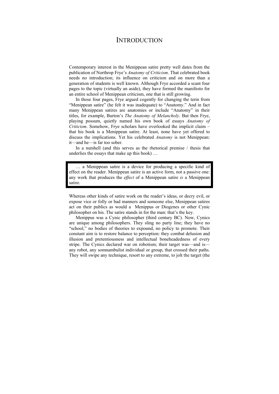### **INTRODUCTION**

Contemporary interest in the Menippean satire pretty well dates from the publication of Northrop Frye's *Anatomy of Criticism*. That celebrated book needs no introduction; its influence on criticism and on more than a generation of students is well known. Although Frye accorded a scant four pages to the topic (virtually an aside), they have formed the manifesto for an entire school of Menippean criticism, one that is still growing.

In those four pages, Frye argued cogently for changing the term from "Menippean satire" (he felt it was inadequate) to "Anatomy." And in fact many Menippean satires are anatomies or include "Anatomy" in their titles, for example, Burton's *The Anatomy of Melancholy*. But then Frye, playing possum, quietly named his own book of essays *Anatomy of Criticism*. Somehow, Frye scholars have overlooked the implicit claim – that his book is a Menippean satire. At least, none have yet offered to discuss the implications. Yet his celebrated *Anatomy* is not Menippean: it—and he—is far too sober.

In a nutshell (and this serves as the rhetorical premise / thesis that underlies the essays that make up this book) …

… a Menippean satire is a device for producing a specific kind of effect on the reader. Menippean satire is an active form, not a passive one: any work that produces the *effect* of a Menippean satire *is* a Menippean satire.

Whereas other kinds of satire work on the reader's ideas, or decry evil, or expose vice or folly or bad manners and someone else, Menippean satires act on their publics as would a Menippus or Diogenes or other Cynic philosopher on his. The satire stands in for the man: that's the key.

Menippus was a Cynic philosopher (third century BC). Now, Cynics are unique among philosophers. They sling no party line; they have no "school," no bodies of theories to expound, no policy to promote. Their constant aim is to restore balance to perception: they combat delusion and illusion and pretentiousness and intellectual boneheadedness of every stripe. The Cynics declared war on robotism; their target was—and is any robot, any somnambulist individual or group, that crossed their paths. They will swipe any technique, resort to any extreme, to jolt the target (the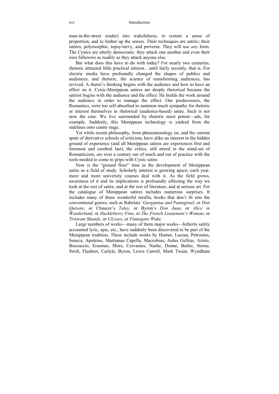man-in-the-street reader) into wakefulness, to restore a sense of proportion, and to limber up the senses. Their techniques are satiric; their satires, polymorphic, topsy-turvy, and perverse. They will use *any* form. The Cynics are utterly democratic: they attack one another and even their own followers as readily as they attack anyone else.

But what does this have to do with today? For nearly two centuries, rhetoric attracted little practical interest…until fairly recently, that is. For electric media have profoundly changed the shapes of publics and audiences, and rhetoric, the science of transforming audiences, has revived. A rhetor's thinking begins with the audience and how to have an effect on it. Cynic-Menippean satires are deeply rhetorical because the satirist begins with the audience and the effect. He builds the work around the audience in order to manage the effect. Our predecessors, the Romantics, were too self-absorbed to summon much sympathy for rhetoric or interest themselves in rhetorical (audience-based) satire. Such is not now the case. We live surrounded by rhetoric most potent—ads, for example. Suddenly, this Menippean technology is yanked from the sidelines onto centre stage.

Yet while recent philosophy, from phenomenology on, and the current spate of derivative schools of criticism, have alike an interest in the hidden ground of experience (and all Menippean satires are experiences first and foremost and cerebral last), the critics, still mired in the mind-set of Romanticism, are over a century out of touch and out of practice with the tools needed to come to grips with Cynic satire.

Now is the "ground floor" time in the development of Menippean satire as a field of study. Scholarly interest is growing apace; each year, more and more university courses deal with it. As the field grows, awareness of it and its implications is profoundly affecting the way we look at the rest of satire, and at the rest of literature, and at serious art. For the catalogue of Menippean satires includes numerous surprises. It includes many of those wonderful misfits, books that don't fit into the conventional genres, such as Rabelais' *Gargantua and Pantagruel*, or *Don Quixote*, or Chaucer's *Tales*, or Byron's *Don Juan*, or *Alice in Wonderland*, or *Huckleberry Finn*, or *The French Lieutenant's Woman*, or *Tristram Shandy*, or *Ulysses*, or *Finnegans Wake*.

Large numbers of works—many of them major works—hitherto safely accounted lyric, epic, etc., have suddenly been discovered to be part of the Menippean tradition. These include works by Homer, Lucian, Petronius, Seneca, Apuleius, Martianus Capella, Macrobius, Aulus Gellius, Aristo, Boccaccio, Erasmus, More, Cervantes, Nashe, Donne, Butler, Sterne, Swift, Flaubert, Carlyle, Byron, Lewis Carroll, Mark Twain, Wyndham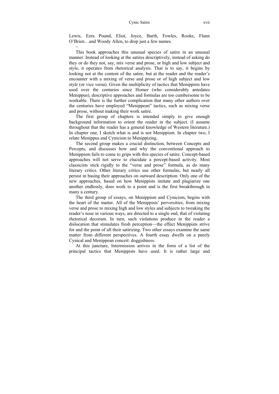#### Cynic Satire xvii

Lewis, Ezra Pound, Eliot, Joyce, Barth, Fowles, Rooke, Flann O'Brien…and Woody Allen, to drop just a few names.

 $\sim$ This book approaches this unusual species of satire in an unusual manner. Instead of looking at the satires descriptively, instead of asking do they or do they not, say, mix verse and prose, or high and low subject and style, it operates from rhetorical analysis. That is to say, it begins by looking not at the content of the satire, but at the reader and the reader's encounter with a mixing of verse and prose or of high subject and low style (or vice versa). Given the multiplicity of tactics that Menippists have used over the centuries since Homer (who considerably antedates Menippus), descriptive approaches and formulas are too cumbersome to be workable. There is the further complication that many other authors over the centuries have employed "Menippean" tactics, such as mixing verse and prose, without making their work satire.

The first group of chapters is intended simply to give enough background information to orient the reader in the subject. (I assume throughout that the reader has a general knowledge of Western literature.) In chapter one, I sketch what is and is not Menippism. In chapter two, I relate Menippus and Cynicism to Menippizing.

The second group makes a crucial distinction, between Concepts and Percepts, and discusses how and why the conventional approach to Menippism fails to come to grips with this species of satire. Concept-based approaches will not serve to elucidate a percept-based activity. Most classicists stick rigidly to the "verse and prose" formula, as do many literary critics. Other literary critics use other formulas, but nearly all persist in basing their approaches on outward description. Only one of the new approaches, based on how Menippists imitate and plagiarize one another endlessly, does work to a point and is the first breakthrough in many a century.

The third group of essays, on Menippism and Cynicism, begins with the heart of the matter. All of the Menippists' perversities, from mixing verse and prose to mixing high and low styles and subjects to tweaking the reader's nose in various ways, are directed to a single end, that of violating rhetorical decorum. In turn, such violations produce in the reader a dislocation that stimulates fresh perception—the effect Menippists strive for and the point of all their satirizing. Two other essays examine the same matter from different perspectives. A fourth essay dwells on a purely Cynical and Menippean conceit: doggishness.

At this juncture, Intermission arrives in the form of a list of the principal tactics that Menippists have used. It is rather large and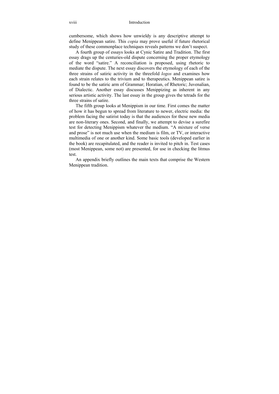cumbersome, which shows how unwieldy is any descriptive attempt to define Menippean satire. This *copia* may prove useful if future rhetorical study of these commonplace techniques reveals patterns we don't suspect.

A fourth group of essays looks at Cynic Satire and Tradition. The first essay drags up the centuries-old dispute concerning the proper etymology of the word "satire." A reconciliation is proposed, using rhetoric to mediate the dispute. The next essay discovers the etymology of each of the three strains of satiric activity in the threefold *logos* and examines how each strain relates to the trivium and to therapeutics. Menippean satire is found to be the satiric arm of Grammar; Horatian, of Rhetoric; Juvenalian, of Dialectic. Another essay discusses Menippizing as inherent in any serious artistic activity. The last essay in the group gives the tetrads for the three strains of satire.

The fifth group looks at Menippism in our time. First comes the matter of how it has begun to spread from literature to newer, electric media: the problem facing the satirist today is that the audiences for these new media are non-literary ones. Second, and finally, we attempt to devise a surefire test for detecting Menippism whatever the medium. "A mixture of verse and prose" is not much use when the medium is film, or TV, or interactive multimedia of one or another kind. Some basic tools (developed earlier in the book) are recapitulated, and the reader is invited to pitch in. Test cases (most Menippean, some not) are presented, for use in checking the litmus test.

An appendix briefly outlines the main texts that comprise the Western Menippean tradition.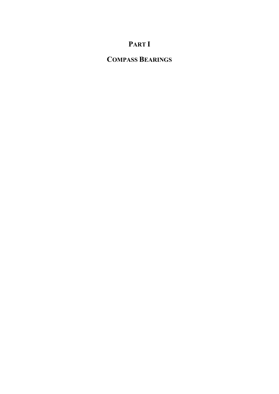# **PART I**

# **COMPASS BEARINGS**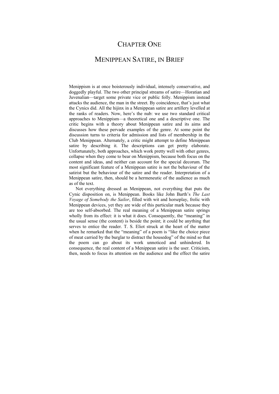## CHAPTER ONE

### MENIPPEAN SATIRE, IN BRIEF

Menippism is at once boisterously individual, intensely conservative, and doggedly playful. The two other principal streams of satire—Horatian and Juvenalian—target some private vice or public folly. Menippism instead attacks the audience, the man in the street. By coincidence, that's just what the Cynics did. All the hijinx in a Menippean satire are artillery levelled at the ranks of readers. Now, here's the nub: we use two standard critical approaches to Menippism—a theoretical one and a descriptive one. The critic begins with a theory about Menippean satire and its aims and discusses how these pervade examples of the genre. At some point the discussion turns to criteria for admission and lists of membership in the Club Menippean. Alternately, a critic might attempt to define Menippean satire by describing it. The descriptions can get pretty elaborate. Unfortunately, both approaches, which work pretty well with other genres, collapse when they come to bear on Menippism, because both focus on the content and ideas, and neither can account for the special decorum. The most significant feature of a Menippean satire is not the behaviour of the satirist but the behaviour of the satire and the reader. Interpretation of a Menippean satire, then, should be a hermeneutic of the audience as much as of the text.

Not everything dressed as Menippean, not everything that puts the Cynic disposition on, is Menippean. Books like John Barth's *The Last Voyage of Somebody the Sailor*, filled with wit and horseplay, frolic with Menippean devices, yet they are wide of this particular mark because they are too self-absorbed. The real meaning of a Menippean satire springs wholly from its effect: it is what it does. Consequently, the "meaning" in the usual sense (the content) is beside the point; it could be anything that serves to entice the reader. T. S. Eliot struck at the heart of the matter when he remarked that the "meaning" of a poem is "like the choice piece of meat carried by the burglar to distract the housedog" of the mind so that the poem can go about its work unnoticed and unhindered. In consequence, the real content of a Menippean satire is the user. Criticism, then, needs to focus its attention on the audience and the effect the satire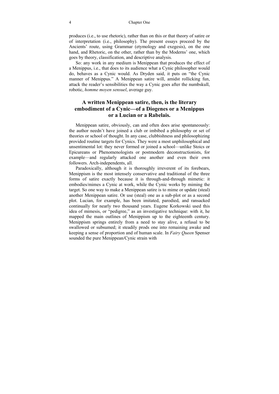produces (i.e., to use rhetoric), rather than on this or that theory of satire or of interpretation (i.e., philosophy). The present essays proceed by the Ancients' route, using Grammar (etymology and exegesis), on the one hand, and Rhetoric, on the other, rather than by the Moderns' one, which goes by theory, classification, and descriptive analysis.

So: any work in any medium is Menippean that produces the effect of a Menippus, i.e., that does to its audience what a Cynic philosopher would do, behaves as a Cynic would. As Dryden said, it puts on "the Cynic manner of Menippus." A Menippean satire will, amidst rollicking fun, attack the reader's sensibilities the way a Cynic goes after the numbskull, robotic, *homme moyen sensuel*, average guy.

#### **A written Menippean satire, then, is the literary embodiment of a Cynic—of a Diogenes or a Menippus or a Lucian or a Rabelais.**

Menippean satire, obviously, can and often does arise spontaneously: the author needn't have joined a club or imbibed a philosophy or set of theories or school of thought. In any case, clubbishness and philosophizing provided routine targets for Cynics. They were a most unphilosophical and unsentimental lot: they never formed or joined a school—unlike Stoics or Epicureans or Phenomenologists or postmodern deconstructionists, for example—and regularly attacked one another and even their own followers. Arch-independents, all.

Paradoxically, although it is thoroughly irreverent of its forebears, Menippism is the most intensely conservative and traditional of the three forms of satire exactly because it is through-and-through mimetic: it embodies/mimes a Cynic at work, while the Cynic works by miming the target. So one way to make a Menippean satire is to mime or update (steal) another Menippean satire. Or use (steal) one as a sub-plot or as a second plot. Lucian, for example, has been imitated, parodied, and ransacked continually for nearly two thousand years. Eugene Korkowski used this idea of mimesis, or "pedigree," as an investigative technique: with it, he mapped the main outlines of Menippism up to the eighteenth century. Menippism springs entirely from a need to stay alive, a refusal to be swallowed or subsumed; it steadily prods one into remaining awake and keeping a sense of proportion and of human scale. In *Fairy Queen* Spenser sounded the pure Menippean/Cynic strain with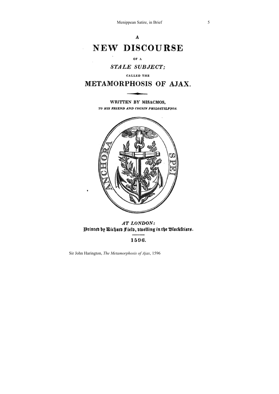Menippean Satire, in Brief 5

#### $\mathbf{A}$

# **NEW DISCOURSE**

#### OF A

#### **STALE SUBJECT:**

#### CALLED THE

## METAMORPHOSIS OF AJAX.

#### WRITTEN BY MISACMOS. TO HIS FRIEND AND COUSIN PHILOSTILPNOS.



AT LONDON: Printen by Richard Field, dwelling in the Blackfriars.

#### 1596.

Sir John Harington, *The Metamorphosis of Ajax*, 1596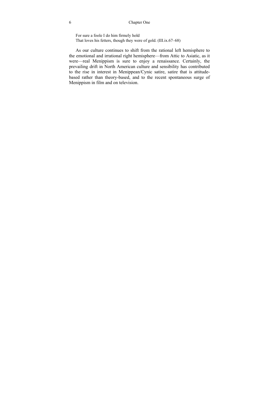#### 6 Chapter One

For sure a foole I do him firmely hold That loves his fetters, though they were of gold. (III.ix.67–68)

As our culture continues to shift from the rational left hemisphere to the emotional and irrational right hemisphere—from Attic to Asiatic, as it were—real Menippism is sure to enjoy a renaissance. Certainly, the prevailing drift in North American culture and sensibility has contributed to the rise in interest in Menippean/Cynic satire, satire that is attitudebased rather than theory-based, and to the recent spontaneous surge of Menippism in film and on television.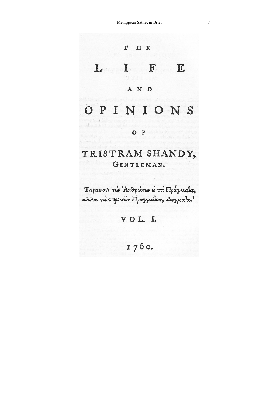

# TRISTRAM SHANDY, GENTLEMAN.

Ταρασσει τεs Ανθρώπες ε' τα Πραγμαία, αλλα τα περι των Πραγμάλων, Δογμαλα.

VOL.I.

1760.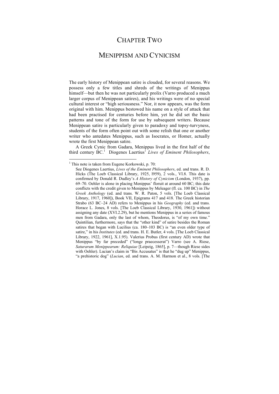### CHAPTER TWO

### MENIPPISM AND CYNICISM

The early history of Menippean satire is clouded, for several reasons. We possess only a few titles and shreds of the writings of Menippus himself—but then he was not particularly prolix (Varro produced a much larger corpus of Menippean satires), and his writings were of no special cultural interest or "high seriousness." Nor, it now appears, was the form original with him. Menippus bestowed his name on a style of attack that had been practised for centuries before him, yet he did set the basic patterns and tone of the form for use by subsequent writers. Because Menippean satire is particularly given to paradoxy and topsy-turvyness, students of the form often point out with some relish that one or another writer who antedates Menippus, such as Isocrates, or Homer, actually wrote the first Menippean satire.

A Greek Cynic from Gadara, Menippus lived in the first half of the third century BC.<sup>1</sup> Diogenes Laertius' Lives of Eminent Philosophers,

 $\overline{a}$ 

<sup>&</sup>lt;sup>1</sup> This note is taken from Eugene Korkowski, p. 70:

See Diogenes Laertius, *Lives of the Eminent Philosophers*, ed. and trans. R. D. Hicks (The Loeb Classical Library, 1925, l959), 2 vols., VI.8. This date is confirmed by Donald R. Dudley's *A History of Cynicism* (London, 1937), pp. 69–70. Oehler is alone in placing Menippus' floruit at around 60 BC; this date conflicts with the credit given to Menippus by Meleager (fl. ca. 100 BC) in *The Greek Anthology* (ed. and trans. W. R. Paton, 5 vols. [The Loeb Classical Library, 1917, 1960]), Book VII, Epigrams 417 and 418. The Greek historian Strabo (63 BC–24 AD) refers to Menippus in his *Geography* (ed. and trans. Horace L. Jones, 8 vols. [The Loeb Classical Library, 1930, 1961]) without assigning any date (XVI.2.29), but he mentions Menippus in a series of famous men from Gadara, only the last of whom, Theodorus, is "of my own time." Quintilian, furthermore, says that the "other kind" of satire besides the Roman satires that began with Lucilius (ca. 180–103 BC) is "an even older type of satire," in his *Institutes* (ed. and trans. H. E. Butler, 4 vols. [The Loeb Classical Library, 1922, 1961], X.1.95). Valerius Probus (first century AD) wrote that Menippus "by far preceded" ("longe praecesserat") Varro (see A. Riese, *Saturarum Menippearum: Reliquiae* [Leipzig, 1865], p. 7—though Riese sides with Oehler). Lucian's claim in "Bis Accusatus" is that he "dug up" Menippus, "a prehistoric dog" (*Lucian*, ed. and trans. A. M. Harmon et al., 8 vols. [The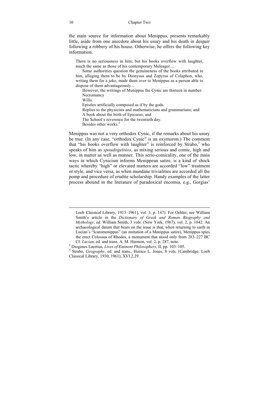the main source for information about Menippus, presents remarkably little, aside from one anecdote about his usury and his death in despair following a robbery of his house. Otherwise, he offers the following key information.

There is no seriousness in him; but his books overflow with laughter, much the same as those of his contemporary Meleager....

Some authorities question the genuineness of the books attributed to him, alleging them to be by Dionysus and Zopyrus of Colaphon, who, writing them for a joke, made them over to Menippus as a person able to dispose of them advantageously...

However, the writings of Menippus the Cynic are thirteen in number: Necromancy

Wills.

Epistles artificially composed as if by the gods.

Replies to the physicists and mathematicians and grammarians; and A book about the birth of Epicurus; and

The School's reverence for the twentieth day.

Besides other works<sup>2</sup>

Menippus was not a very orthodox Cynic, if the remarks about his usury be true. (In any case, "orthodox Cynic" is an oxymoron.) The comment that "his books overflow with laughter" is reinforced by Strabo, $3$  who speaks of him as *spoudogeloios*, as mixing serious and comic, high and low, in matter as well as manner. This serio-comicality, one of the main ways in which Cynicism informs Menippean satire, is a kind of shock tactic whereby "high" or elevated matters are accorded "low" treatment or style, and vice versa, as when mundane trivialities are accorded all the pomp and procedure of erudite scholarship. Handy examples of the latter process abound in the literature of paradoxical encomia, e.g., Gorgias'

Loeb Classical Library, 1913–1961], vol. 3, p. 147). For Oehler, see William Smith's article in the *Dictionary of Greek and Roman Biography and Mythology*, ed. William Smith, 3 vols. (New York, 1967), vol. 2, p. 1042. An archaeological datum that bears on the issue is that, when returning to earth in Lucian's "Icaromenippus" (an imitation of a Menippus satire), Menippus spies the erect Colossus of Rhodes, a monument that stood only from 283–227 BC Cf. *Lucian*, ed. and trans. A. M. Harmon, vol. 2, p. 287, note.

Diogenes Laertius, *Lives of Eminent Philosophers*, II, pp. 103–105. 3

<sup>&</sup>lt;sup>3</sup> Strabo, *Geography*, ed. and trans., Horace L. Jones, 8 vols. (Cambridge: Loeb Classical Library, 1930, 1961), XVI.2.29.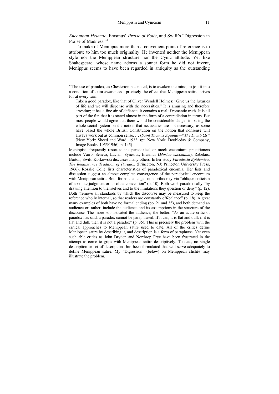*Encomium Helenae*, Erasmus' *Praise of Folly*, and Swift's "Digression in Praise of Madness<sup>"4</sup>

To make of Menippus more than a convenient point of reference is to attribute to him too much originality. He invented neither the Menippean style nor the Menippean structure nor the Cynic attitude. Yet like Shakespeare, whose name adorns a sonnet form he did not invent, Menippus seems to have been regarded in antiquity as the outstanding

 4 The use of paradox, as Chesterton has noted, is to awaken the mind, to jolt it into a condition of extra awareness—precisely the effect that Menippean satire strives for at every turn:

Take a good paradox, like that of Oliver Wendell Holmes: "Give us the luxuries of life and we will dispense with the necessities." It is amusing and therefore arresting; it has a fine air of defiance; it contains a real if romantic truth. It is all part of the fun that it is stated almost in the form of a contradiction in terms. But most people would agree that there would be considerable danger in basing the whole social system on the notion that necessaries are not necessary; as some have based the whole British Constitution on the notion that nonsense will always work out as common sense. … (*Saint Thomas Aquinas—*"*The Dumb Ox"* [New York: Sheed and Ward, 1933, rpt. New York: Doubleday & Company, Image Books, 1955/1956], p. 145)

Menippists frequently resort to the paradoxical or mock encomium: practitioners include Varro, Seneca, Lucian, Synesius, Erasmus (*Moriae encomium*), Rabelais, Burton, Swift. Korkowski discusses many others. In her study *Paradoxia Epidemica*: *The Renaissance Tradition of Paradox* (Princeton, NJ: Princeton University Press, 1966), Rosalie Colie lists characteristics of paradoxical encomia. Her lists and discussion suggest an almost complete convergence of the paradoxical encomium with Menippean satire. Both forms challenge some orthodoxy via "oblique criticism of absolute judgment or absolute convention" (p. 10). Both work paradoxically "by drawing attention to themselves and to the limitations they question or deny" (p. 12). Both "remove all standards by which the discourse may be measured to keep the reference wholly internal, so that readers are constantly off-balance" (p. 18). A great many examples of both have no formal ending (pp. 21 and 35), and both demand an audience or, rather, include the audience and its assumptions in the structure of the discourse. The more sophisticated the audience, the better. "As an acute critic of paradox has said, a paradox cannot be paraphrased. If it can, it is flat and dull: if it is flat and dull, then it is not a paradox"  $(p. 35)$ . This is precisely the problem with the critical approaches to Menippean satire used to date. All of the critics define Menippean satire by describing it, and description is a form of paraphrase. Yet even such able critics as John Dryden and Northrop Frye have been frustrated in the attempt to come to grips with Menippean satire descriptively. To date, no single description or set of descriptions has been formulated that will serve adequately to define Menippean satire. My "Digression" (below) on Menippean clichés may illustrate the problem.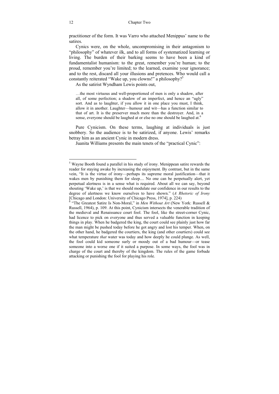practitioner of the form. It was Varro who attached Menippus' name to the satires.

Cynics were, on the whole, uncompromising in their antagonism to "philosophy" of whatever ilk, and to all forms of systematized learning or living. The burden of their barking seems to have been a kind of fundamentalist humanism: to the great, remember you're human; to the proud, remember you're limited; to the learned, examine your ignorance; and to the rest, discard all your illusions and pretences. Who would call a constantly reiterated "Wake up, you clowns!" a philosophy?5

As the satirist Wyndham Lewis points out,

…the most virtuous and well-proportioned of men is only a shadow, after all, of some perfection; a shadow of an imperfect, and hence an "ugly" sort. And as to laughter, if you allow it in one place you must, I think, allow it in another. Laughter—humour and wit—has a function similar to that of art. It is the preserver much more than the destroyer. And, in a sense, everyone should be laughed at or else no one should be laughed at.<sup>6</sup>

Pure Cynicism. On these terms, laughing at individuals is just snobbery. So the audience is to be satirized, if anyone. Lewis' remarks betray him as an ancient Cynic in modern dress.

Juanita Williams presents the main tenets of the "practical Cynic":

 $\overline{a}$ 

<sup>&</sup>lt;sup>5</sup> Wayne Booth found a parallel in his study of irony. Menippean satire rewards the reader for staying awake by increasing the enjoyment. By contrast, but in the same vein, "It is the virtue of irony—perhaps its supreme moral justification—that it wakes men by punishing them for sleep.... No one can be perpetually alert, yet perpetual alertness is in a sense what is required. About all we can say, beyond shouting 'Wake up,' is that we should modulate our confidence in our results to the degree of alertness we know ourselves to have shown." (*A Rhetoric of Irony* [Chicago and London: University of Chicago Press, 1974], p. 224) 6 "The Greatest Satire Is Non-Moral," in *Men Without Art* (New York: Russell &

Russell, 1964), p. 109. At this point, Cynicism intersects the venerable tradition of the medieval and Renaissance court fool. The fool, like the street-corner Cynic, had licence to pick on everyone and thus served a valuable function in keeping things in play. When he badgered the king, the court could see plainly just how far the man might be pushed today before he got angry and lost his temper. When, on the other hand, he badgered the courtiers, the king (and other courtiers) could see what temperature *that* water was today and how deeply he could plunge. As well, the fool could kid someone surly or moody out of a bad humour—or tease someone into a worse one if it suited a purpose. In some ways, the fool was in charge of the court and thereby of the kingdom. The rules of the game forbade attacking or punishing the fool for playing his role.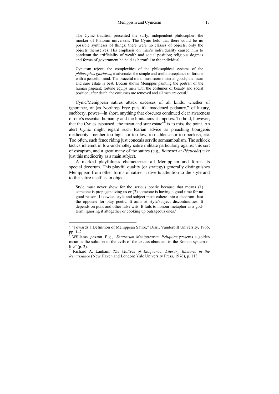The Cynic tradition presented the surly, independent philosopher, the mocker of Platonic universals. The Cynic held that there could be no possible syntheses of things; there were no classes of objects, only the objects themselves. His emphasis on man's individuality caused him to condemn the artificiality of wealth and social position; religious dogmas and forms of government he held as harmful to the individual.

Cynicism rejects the complexities of the philosophical systems of the *philosophus gloriosus*; it advocates the simple and useful acceptance of fortune with a peaceful mind. The peaceful mind must scorn material goods; the mean and sure estate is best. Lucian shows Menippus painting the portrait of the human pageant; fortune equips men with the costumes of beauty and social position; after death, the costumes are removed and all men are equal.<sup>7</sup>

Cynic/Menippean satires attack excesses of all kinds, whether of ignorance, of (as Northrop Frye puts it) "maddened pedantry," of luxury, snobbery, power—in short, anything that obscures continued clear awareness of one's essential humanity and the limitations it imposes. To hold, however, that the Cynics espoused "the mean and sure estate" $\delta$  is to miss the point. An alert Cynic might regard such Icarian advice as preaching bourgeois mediocrity—neither too high nor too low, too athletic nor too bookish, etc. Too often, such fence riding just conceals servile somnambulism. The schlock tactics inherent in low-and-motley satire militate particularly against this sort of escapism, and a great many of the satires (e.g., *Bouvard et Pécuchét*) take just this mediocrity as a main subject.

A marked playfulness characterizes all Menippism and forms its special decorum. This playful quality (or strategy) generally distinguishes Menippism from other forms of satire: it diverts attention to the style and to the satire itself as an object.

Style must never show for the serious poetic because that means (1) someone is propagandizing us or (2) someone is having a good time for no good reason. Likewise, style and subject must cohere into a decorum. Just the opposite for play poetic. It aims at style/subject discontinuities. It depends on puns and other false wits. It fails to honour metaphor as a godterm, ignoring it altogether or cooking up outrageous ones.<sup>9</sup>

 7 "Towards a Definition of Menippean Satire," Diss., Vanderbilt University, 1966, pp. 1–2.<br><sup>8</sup> William

Williams, *passim*. E.g., "*Saturarum Menippearum Reliquiae* presents a golden mean as the solution to the evils of the excess abundant in the Roman system of life" (p. 2).

<sup>9</sup> Richard A. Lanham, *The Motives of Eloquence: Literary Rhetoric in the Renaissance* (New Haven and London: Yale University Press, 1976), p. 113.